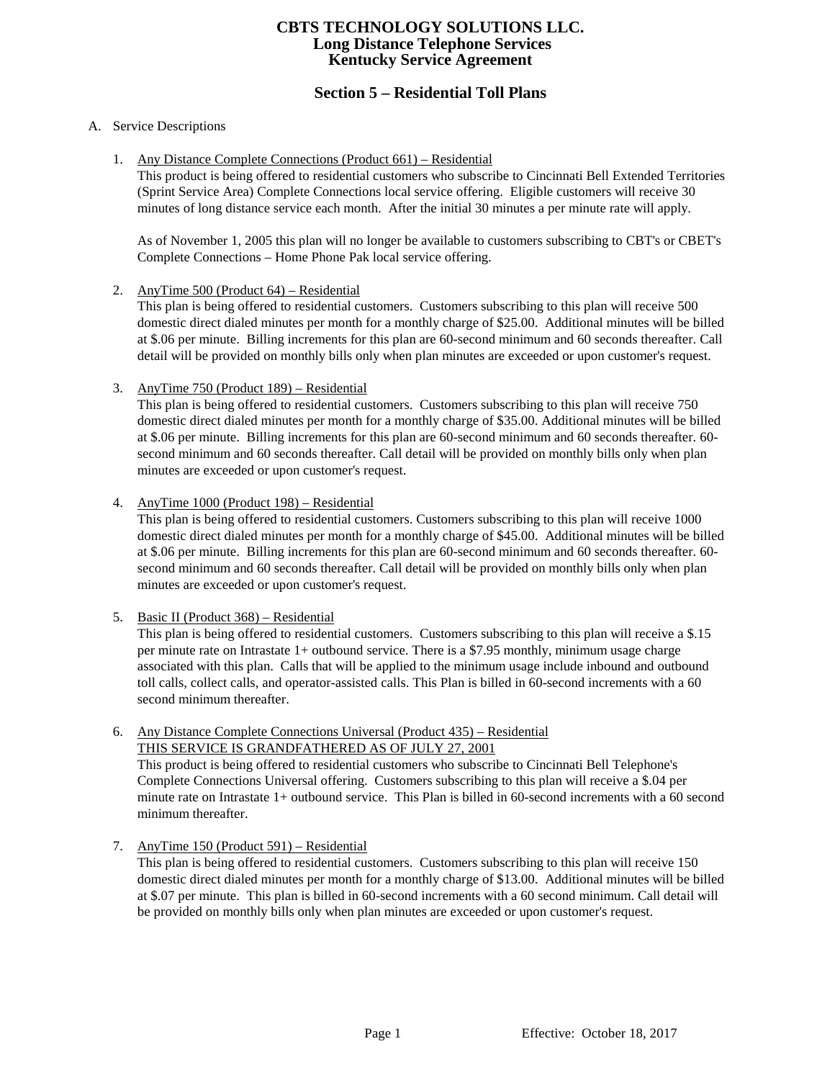# **Section 5 – Residential Toll Plans**

#### A. Service Descriptions

1. Any Distance Complete Connections (Product 661) – Residential

This product is being offered to residential customers who subscribe to Cincinnati Bell Extended Territories (Sprint Service Area) Complete Connections local service offering. Eligible customers will receive 30 minutes of long distance service each month. After the initial 30 minutes a per minute rate will apply.

As of November 1, 2005 this plan will no longer be available to customers subscribing to CBT's or CBET's Complete Connections – Home Phone Pak local service offering.

2. AnyTime 500 (Product 64) – Residential

This plan is being offered to residential customers. Customers subscribing to this plan will receive 500 domestic direct dialed minutes per month for a monthly charge of \$25.00. Additional minutes will be billed at \$.06 per minute. Billing increments for this plan are 60-second minimum and 60 seconds thereafter. Call detail will be provided on monthly bills only when plan minutes are exceeded or upon customer's request.

3. AnyTime 750 (Product 189) – Residential

This plan is being offered to residential customers. Customers subscribing to this plan will receive 750 domestic direct dialed minutes per month for a monthly charge of \$35.00. Additional minutes will be billed at \$.06 per minute. Billing increments for this plan are 60-second minimum and 60 seconds thereafter. 60 second minimum and 60 seconds thereafter. Call detail will be provided on monthly bills only when plan minutes are exceeded or upon customer's request.

4. AnyTime 1000 (Product 198) – Residential

This plan is being offered to residential customers. Customers subscribing to this plan will receive 1000 domestic direct dialed minutes per month for a monthly charge of \$45.00. Additional minutes will be billed at \$.06 per minute. Billing increments for this plan are 60-second minimum and 60 seconds thereafter. 60 second minimum and 60 seconds thereafter. Call detail will be provided on monthly bills only when plan minutes are exceeded or upon customer's request.

5. Basic II (Product 368) – Residential

This plan is being offered to residential customers. Customers subscribing to this plan will receive a \$.15 per minute rate on Intrastate 1+ outbound service. There is a \$7.95 monthly, minimum usage charge associated with this plan. Calls that will be applied to the minimum usage include inbound and outbound toll calls, collect calls, and operator-assisted calls. This Plan is billed in 60-second increments with a 60 second minimum thereafter.

6. Any Distance Complete Connections Universal (Product 435) – Residential THIS SERVICE IS GRANDFATHERED AS OF JULY 27, 2001

This product is being offered to residential customers who subscribe to Cincinnati Bell Telephone's Complete Connections Universal offering. Customers subscribing to this plan will receive a \$.04 per minute rate on Intrastate 1+ outbound service. This Plan is billed in 60-second increments with a 60 second minimum thereafter.

## 7. AnyTime 150 (Product 591) – Residential

This plan is being offered to residential customers. Customers subscribing to this plan will receive 150 domestic direct dialed minutes per month for a monthly charge of \$13.00. Additional minutes will be billed at \$.07 per minute. This plan is billed in 60-second increments with a 60 second minimum. Call detail will be provided on monthly bills only when plan minutes are exceeded or upon customer's request.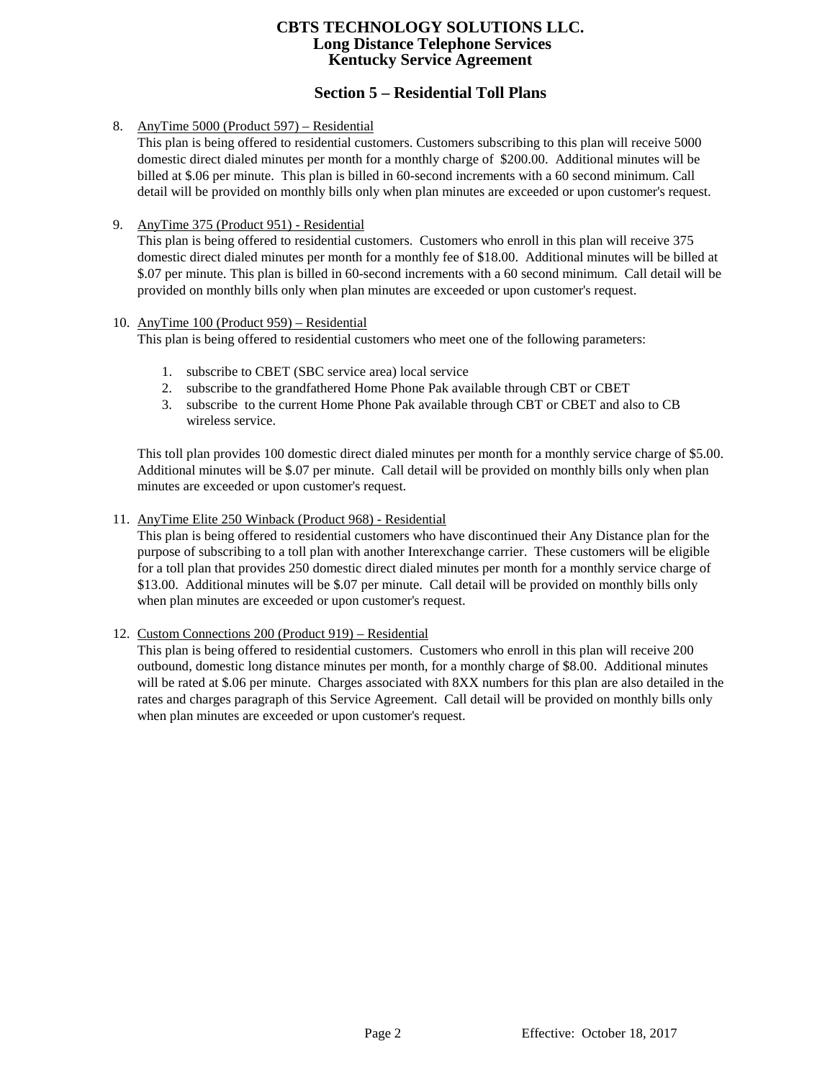# **Section 5 – Residential Toll Plans**

8. AnyTime 5000 (Product 597) – Residential

This plan is being offered to residential customers. Customers subscribing to this plan will receive 5000 domestic direct dialed minutes per month for a monthly charge of \$200.00. Additional minutes will be billed at \$.06 per minute. This plan is billed in 60-second increments with a 60 second minimum. Call detail will be provided on monthly bills only when plan minutes are exceeded or upon customer's request.

9. AnyTime 375 (Product 951) - Residential

This plan is being offered to residential customers. Customers who enroll in this plan will receive 375 domestic direct dialed minutes per month for a monthly fee of \$18.00. Additional minutes will be billed at \$.07 per minute. This plan is billed in 60-second increments with a 60 second minimum. Call detail will be provided on monthly bills only when plan minutes are exceeded or upon customer's request.

### 10. AnyTime 100 (Product 959) – Residential

This plan is being offered to residential customers who meet one of the following parameters:

- 1. subscribe to CBET (SBC service area) local service
- 2. subscribe to the grandfathered Home Phone Pak available through CBT or CBET
- 3. subscribe to the current Home Phone Pak available through CBT or CBET and also to CB wireless service.

This toll plan provides 100 domestic direct dialed minutes per month for a monthly service charge of \$5.00. Additional minutes will be \$.07 per minute. Call detail will be provided on monthly bills only when plan minutes are exceeded or upon customer's request.

11. AnyTime Elite 250 Winback (Product 968) - Residential

This plan is being offered to residential customers who have discontinued their Any Distance plan for the purpose of subscribing to a toll plan with another Interexchange carrier. These customers will be eligible for a toll plan that provides 250 domestic direct dialed minutes per month for a monthly service charge of \$13.00. Additional minutes will be \$.07 per minute. Call detail will be provided on monthly bills only when plan minutes are exceeded or upon customer's request.

12. Custom Connections 200 (Product 919) – Residential

This plan is being offered to residential customers. Customers who enroll in this plan will receive 200 outbound, domestic long distance minutes per month, for a monthly charge of \$8.00. Additional minutes will be rated at \$.06 per minute. Charges associated with 8XX numbers for this plan are also detailed in the rates and charges paragraph of this Service Agreement. Call detail will be provided on monthly bills only when plan minutes are exceeded or upon customer's request.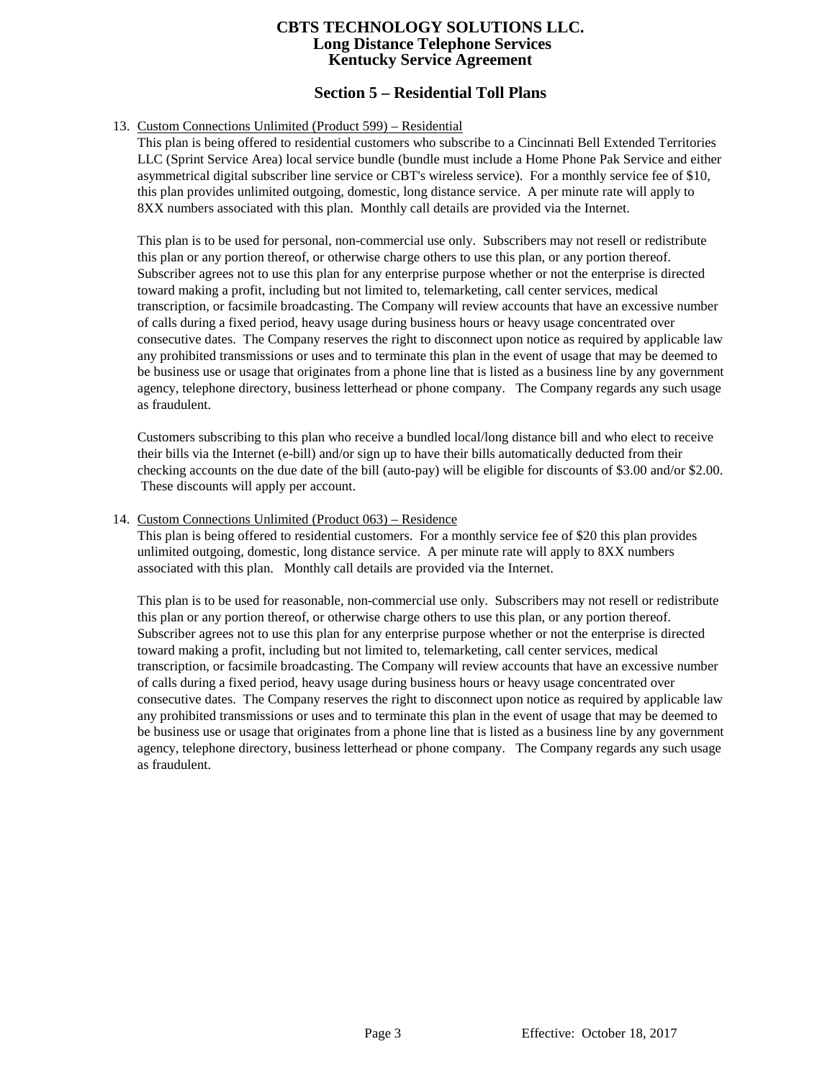# **Section 5 – Residential Toll Plans**

### 13. Custom Connections Unlimited (Product 599) – Residential

This plan is being offered to residential customers who subscribe to a Cincinnati Bell Extended Territories LLC (Sprint Service Area) local service bundle (bundle must include a Home Phone Pak Service and either asymmetrical digital subscriber line service or CBT's wireless service). For a monthly service fee of \$10, this plan provides unlimited outgoing, domestic, long distance service. A per minute rate will apply to 8XX numbers associated with this plan. Monthly call details are provided via the Internet.

This plan is to be used for personal, non-commercial use only. Subscribers may not resell or redistribute this plan or any portion thereof, or otherwise charge others to use this plan, or any portion thereof. Subscriber agrees not to use this plan for any enterprise purpose whether or not the enterprise is directed toward making a profit, including but not limited to, telemarketing, call center services, medical transcription, or facsimile broadcasting. The Company will review accounts that have an excessive number of calls during a fixed period, heavy usage during business hours or heavy usage concentrated over consecutive dates. The Company reserves the right to disconnect upon notice as required by applicable law any prohibited transmissions or uses and to terminate this plan in the event of usage that may be deemed to be business use or usage that originates from a phone line that is listed as a business line by any government agency, telephone directory, business letterhead or phone company. The Company regards any such usage as fraudulent.

Customers subscribing to this plan who receive a bundled local/long distance bill and who elect to receive their bills via the Internet (e-bill) and/or sign up to have their bills automatically deducted from their checking accounts on the due date of the bill (auto-pay) will be eligible for discounts of \$3.00 and/or \$2.00. These discounts will apply per account.

#### 14. Custom Connections Unlimited (Product 063) – Residence

This plan is being offered to residential customers. For a monthly service fee of \$20 this plan provides unlimited outgoing, domestic, long distance service. A per minute rate will apply to 8XX numbers associated with this plan. Monthly call details are provided via the Internet.

This plan is to be used for reasonable, non-commercial use only. Subscribers may not resell or redistribute this plan or any portion thereof, or otherwise charge others to use this plan, or any portion thereof. Subscriber agrees not to use this plan for any enterprise purpose whether or not the enterprise is directed toward making a profit, including but not limited to, telemarketing, call center services, medical transcription, or facsimile broadcasting. The Company will review accounts that have an excessive number of calls during a fixed period, heavy usage during business hours or heavy usage concentrated over consecutive dates. The Company reserves the right to disconnect upon notice as required by applicable law any prohibited transmissions or uses and to terminate this plan in the event of usage that may be deemed to be business use or usage that originates from a phone line that is listed as a business line by any government agency, telephone directory, business letterhead or phone company. The Company regards any such usage as fraudulent.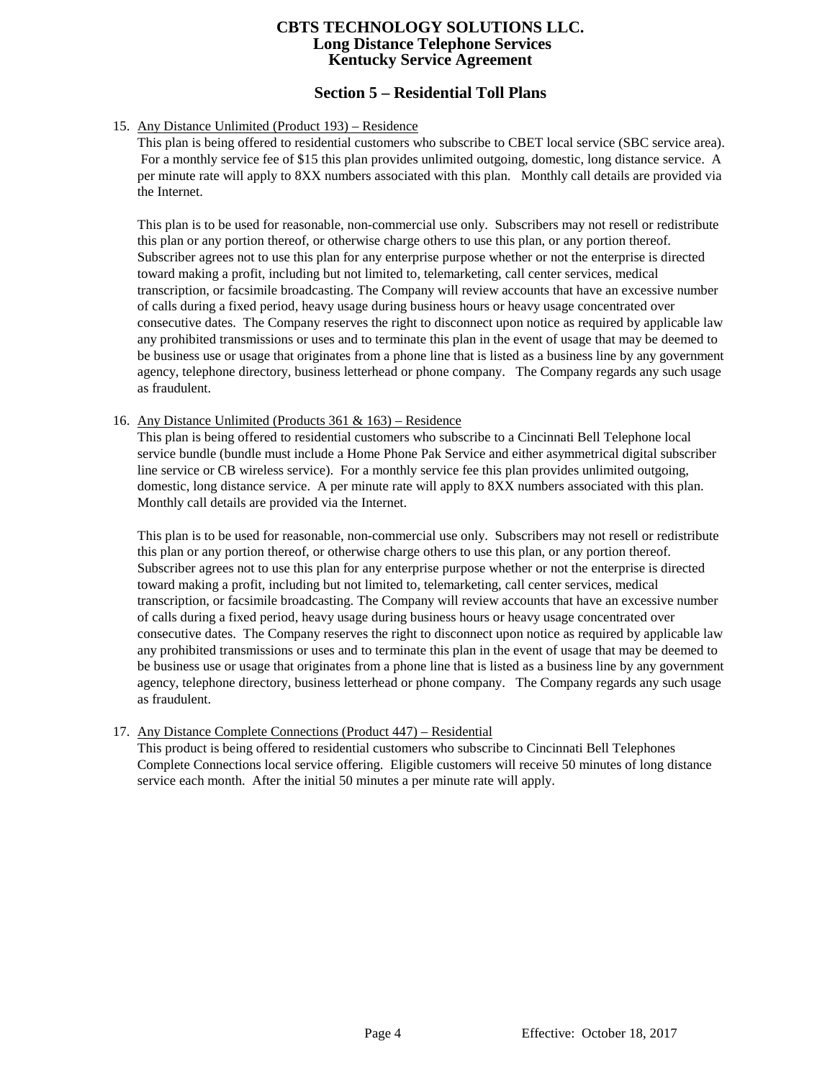# **Section 5 – Residential Toll Plans**

## 15. Any Distance Unlimited (Product 193) – Residence

This plan is being offered to residential customers who subscribe to CBET local service (SBC service area). For a monthly service fee of \$15 this plan provides unlimited outgoing, domestic, long distance service. A per minute rate will apply to 8XX numbers associated with this plan. Monthly call details are provided via the Internet.

This plan is to be used for reasonable, non-commercial use only. Subscribers may not resell or redistribute this plan or any portion thereof, or otherwise charge others to use this plan, or any portion thereof. Subscriber agrees not to use this plan for any enterprise purpose whether or not the enterprise is directed toward making a profit, including but not limited to, telemarketing, call center services, medical transcription, or facsimile broadcasting. The Company will review accounts that have an excessive number of calls during a fixed period, heavy usage during business hours or heavy usage concentrated over consecutive dates. The Company reserves the right to disconnect upon notice as required by applicable law any prohibited transmissions or uses and to terminate this plan in the event of usage that may be deemed to be business use or usage that originates from a phone line that is listed as a business line by any government agency, telephone directory, business letterhead or phone company. The Company regards any such usage as fraudulent.

#### 16. Any Distance Unlimited (Products 361 & 163) – Residence

This plan is being offered to residential customers who subscribe to a Cincinnati Bell Telephone local service bundle (bundle must include a Home Phone Pak Service and either asymmetrical digital subscriber line service or CB wireless service). For a monthly service fee this plan provides unlimited outgoing, domestic, long distance service. A per minute rate will apply to 8XX numbers associated with this plan. Monthly call details are provided via the Internet.

This plan is to be used for reasonable, non-commercial use only. Subscribers may not resell or redistribute this plan or any portion thereof, or otherwise charge others to use this plan, or any portion thereof. Subscriber agrees not to use this plan for any enterprise purpose whether or not the enterprise is directed toward making a profit, including but not limited to, telemarketing, call center services, medical transcription, or facsimile broadcasting. The Company will review accounts that have an excessive number of calls during a fixed period, heavy usage during business hours or heavy usage concentrated over consecutive dates. The Company reserves the right to disconnect upon notice as required by applicable law any prohibited transmissions or uses and to terminate this plan in the event of usage that may be deemed to be business use or usage that originates from a phone line that is listed as a business line by any government agency, telephone directory, business letterhead or phone company. The Company regards any such usage as fraudulent.

## 17. Any Distance Complete Connections (Product 447) – Residential

This product is being offered to residential customers who subscribe to Cincinnati Bell Telephones Complete Connections local service offering. Eligible customers will receive 50 minutes of long distance service each month. After the initial 50 minutes a per minute rate will apply.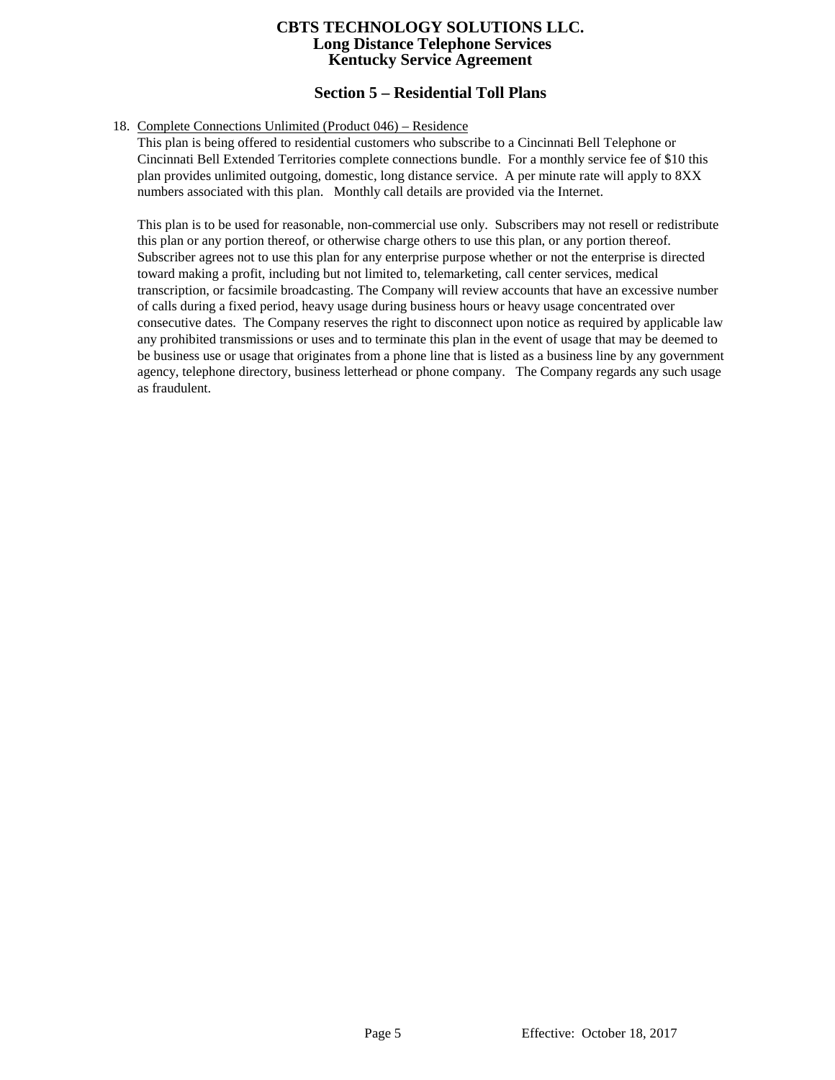# **Section 5 – Residential Toll Plans**

#### 18. Complete Connections Unlimited (Product 046) – Residence

This plan is being offered to residential customers who subscribe to a Cincinnati Bell Telephone or Cincinnati Bell Extended Territories complete connections bundle. For a monthly service fee of \$10 this plan provides unlimited outgoing, domestic, long distance service. A per minute rate will apply to 8XX numbers associated with this plan. Monthly call details are provided via the Internet.

This plan is to be used for reasonable, non-commercial use only. Subscribers may not resell or redistribute this plan or any portion thereof, or otherwise charge others to use this plan, or any portion thereof. Subscriber agrees not to use this plan for any enterprise purpose whether or not the enterprise is directed toward making a profit, including but not limited to, telemarketing, call center services, medical transcription, or facsimile broadcasting. The Company will review accounts that have an excessive number of calls during a fixed period, heavy usage during business hours or heavy usage concentrated over consecutive dates. The Company reserves the right to disconnect upon notice as required by applicable law any prohibited transmissions or uses and to terminate this plan in the event of usage that may be deemed to be business use or usage that originates from a phone line that is listed as a business line by any government agency, telephone directory, business letterhead or phone company. The Company regards any such usage as fraudulent.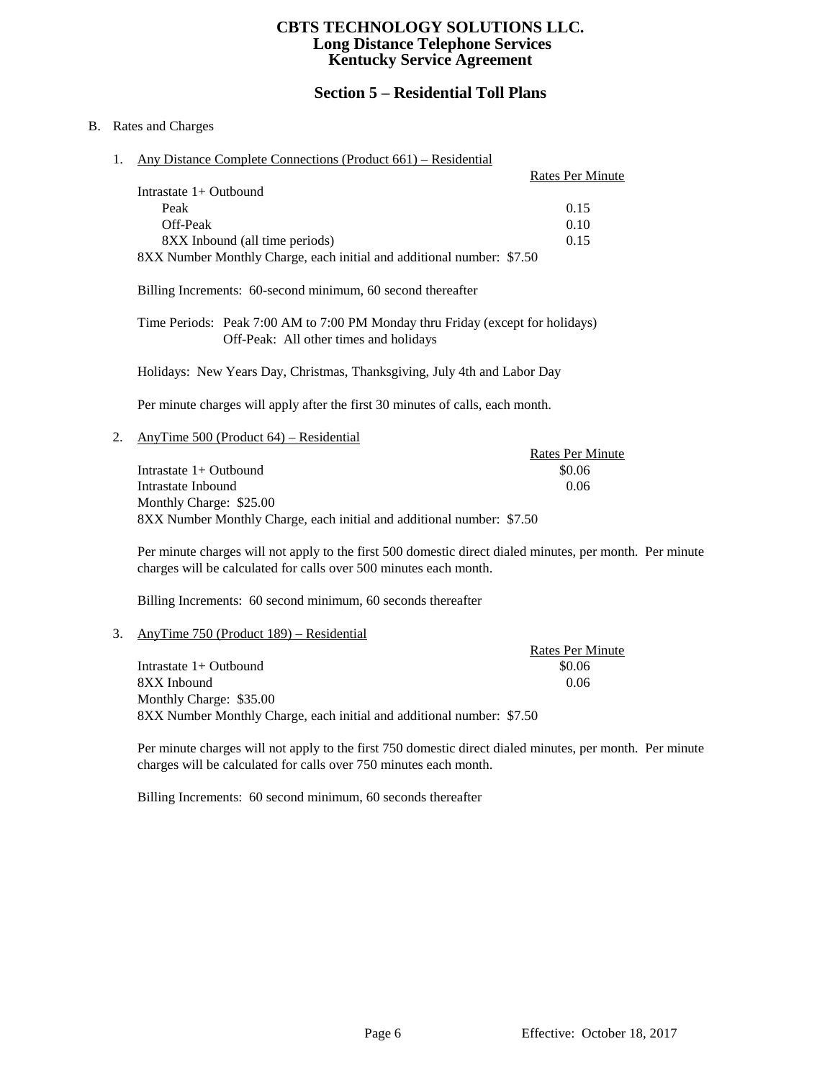## **Section 5 – Residential Toll Plans**

### B. Rates and Charges

1. Any Distance Complete Connections (Product 661) – Residential

|                                                                       | <b>Rates Per Minute</b> |
|-----------------------------------------------------------------------|-------------------------|
| Intrastate $1+$ Outbound                                              |                         |
| Peak                                                                  | 0.15                    |
| Off-Peak                                                              | 0.10                    |
| 8XX Inbound (all time periods)                                        | 0.15                    |
| 8XX Number Monthly Charge, each initial and additional number: \$7.50 |                         |

Billing Increments: 60-second minimum, 60 second thereafter

Time Periods: Peak 7:00 AM to 7:00 PM Monday thru Friday (except for holidays) Off-Peak: All other times and holidays

Holidays: New Years Day, Christmas, Thanksgiving, July 4th and Labor Day

Per minute charges will apply after the first 30 minutes of calls, each month.

2. AnyTime 500 (Product 64) – Residential

Rates Per Minute Intrastate 1+ Outbound \$0.06 Intrastate Inbound 0.06 Monthly Charge: \$25.00 8XX Number Monthly Charge, each initial and additional number: \$7.50

Per minute charges will not apply to the first 500 domestic direct dialed minutes, per month. Per minute charges will be calculated for calls over 500 minutes each month.

Billing Increments: 60 second minimum, 60 seconds thereafter

#### 3. AnyTime 750 (Product 189) – Residential

Rates Per Minute Intrastate 1+ Outbound \$0.06 8XX Inbound 0.06 Monthly Charge: \$35.00 8XX Number Monthly Charge, each initial and additional number: \$7.50

Per minute charges will not apply to the first 750 domestic direct dialed minutes, per month. Per minute charges will be calculated for calls over 750 minutes each month.

Billing Increments: 60 second minimum, 60 seconds thereafter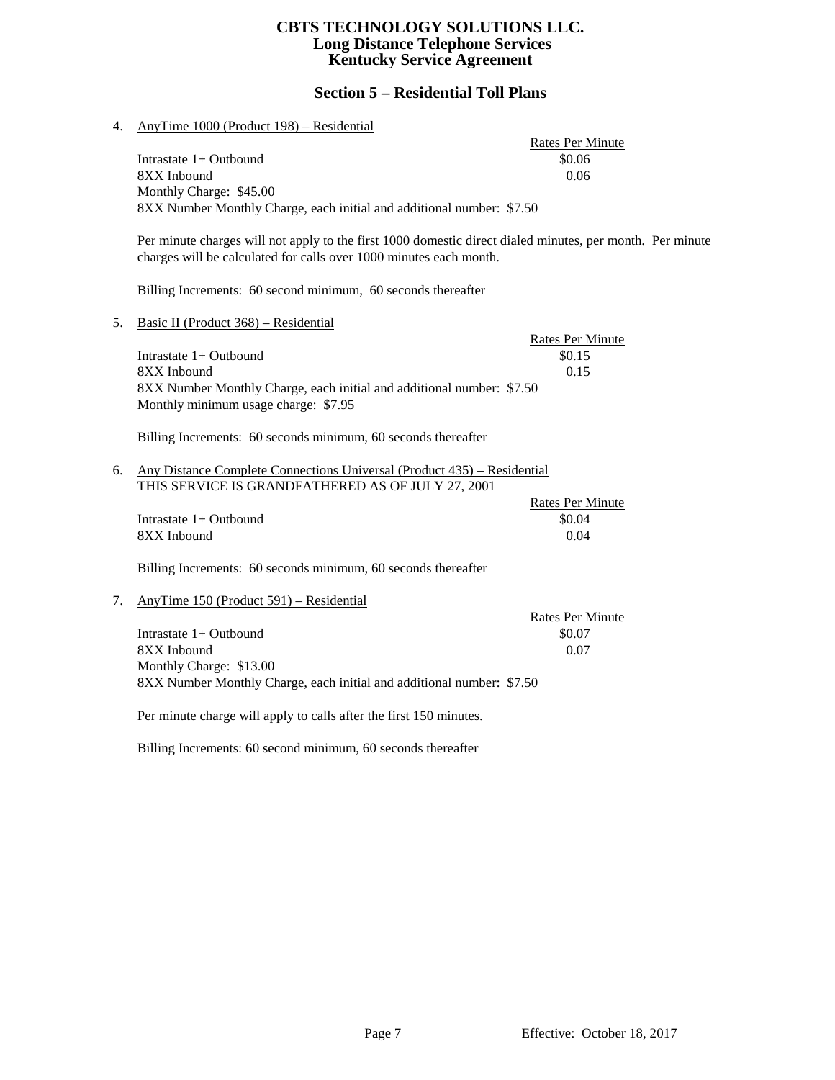# **Section 5 – Residential Toll Plans**

| 4. | AnyTime 1000 (Product 198) – Residential                                                                                                                                        |                         |  |
|----|---------------------------------------------------------------------------------------------------------------------------------------------------------------------------------|-------------------------|--|
|    |                                                                                                                                                                                 | <b>Rates Per Minute</b> |  |
|    | Intrastate 1+ Outbound                                                                                                                                                          | \$0.06                  |  |
|    | 8XX Inbound                                                                                                                                                                     | 0.06                    |  |
|    | Monthly Charge: \$45.00                                                                                                                                                         |                         |  |
|    | 8XX Number Monthly Charge, each initial and additional number: \$7.50                                                                                                           |                         |  |
|    | Per minute charges will not apply to the first 1000 domestic direct dialed minutes, per month. Per minute<br>charges will be calculated for calls over 1000 minutes each month. |                         |  |
|    | Billing Increments: 60 second minimum, 60 seconds thereafter                                                                                                                    |                         |  |
| 5. | Basic II (Product 368) – Residential                                                                                                                                            |                         |  |
|    |                                                                                                                                                                                 | <b>Rates Per Minute</b> |  |
|    | Intrastate 1+ Outbound                                                                                                                                                          | \$0.15                  |  |
|    | 8XX Inbound                                                                                                                                                                     | 0.15                    |  |
|    | 8XX Number Monthly Charge, each initial and additional number: \$7.50<br>Monthly minimum usage charge: \$7.95                                                                   |                         |  |
|    | Billing Increments: 60 seconds minimum, 60 seconds thereafter                                                                                                                   |                         |  |
| 6. | Any Distance Complete Connections Universal (Product 435) – Residential                                                                                                         |                         |  |
|    | THIS SERVICE IS GRANDFATHERED AS OF JULY 27, 2001                                                                                                                               |                         |  |
|    |                                                                                                                                                                                 | <b>Rates Per Minute</b> |  |
|    | Intrastate 1+ Outbound<br>8XX Inbound                                                                                                                                           | \$0.04<br>0.04          |  |
|    |                                                                                                                                                                                 |                         |  |
|    | Billing Increments: 60 seconds minimum, 60 seconds thereafter                                                                                                                   |                         |  |
| 7. | AnyTime 150 (Product 591) – Residential                                                                                                                                         |                         |  |
|    |                                                                                                                                                                                 | <b>Rates Per Minute</b> |  |
|    | Intrastate $1+$ Outbound                                                                                                                                                        | \$0.07                  |  |
|    | 8XX Inbound                                                                                                                                                                     | 0.07                    |  |
|    | Monthly Charge: \$13.00                                                                                                                                                         |                         |  |
|    | 8XX Number Monthly Charge, each initial and additional number: \$7.50                                                                                                           |                         |  |
|    | Per minute charge will apply to calls after the first 150 minutes.                                                                                                              |                         |  |
|    | Billing Increments: 60 second minimum, 60 seconds thereafter                                                                                                                    |                         |  |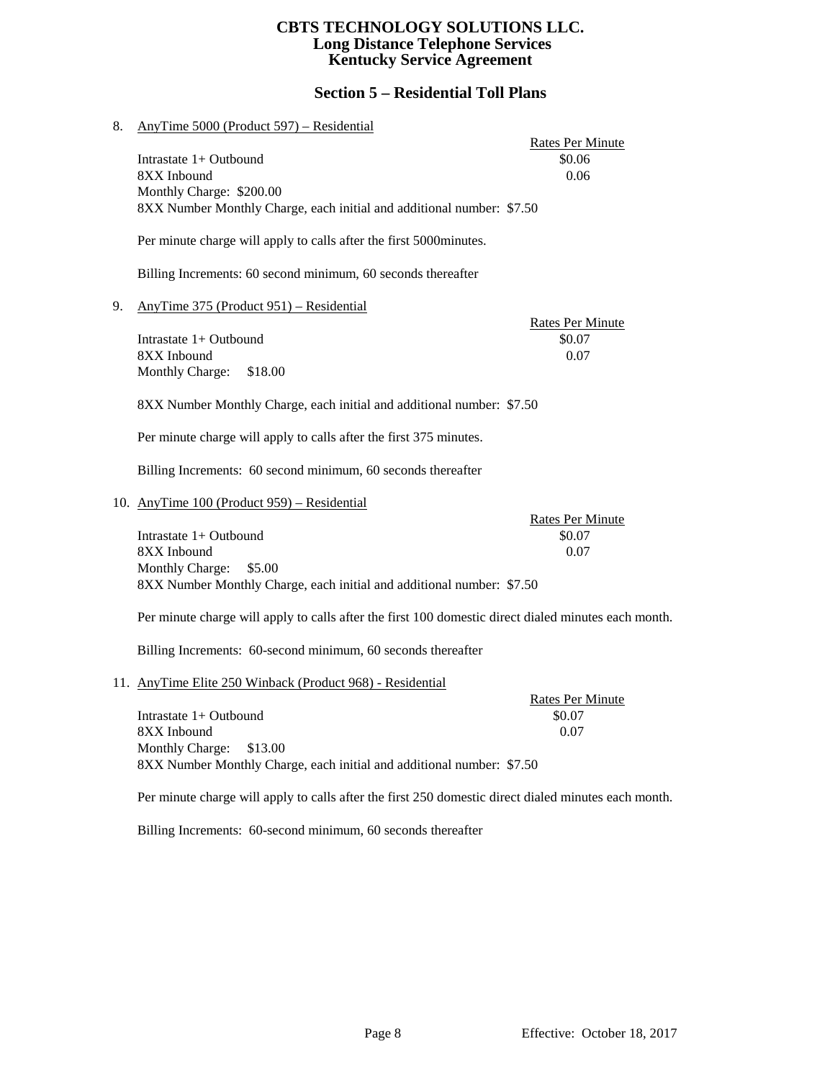# **Section 5 – Residential Toll Plans**

| 8. | AnyTime 5000 (Product 597) – Residential                                                             |                                   |
|----|------------------------------------------------------------------------------------------------------|-----------------------------------|
|    | Intrastate 1+ Outbound                                                                               | <b>Rates Per Minute</b><br>\$0.06 |
|    | 8XX Inbound                                                                                          | 0.06                              |
|    | Monthly Charge: \$200.00                                                                             |                                   |
|    | 8XX Number Monthly Charge, each initial and additional number: \$7.50                                |                                   |
|    | Per minute charge will apply to calls after the first 5000 minutes.                                  |                                   |
|    | Billing Increments: 60 second minimum, 60 seconds thereafter                                         |                                   |
| 9. | AnyTime 375 (Product 951) – Residential                                                              | <b>Rates Per Minute</b>           |
|    | Intrastate 1+ Outbound                                                                               | \$0.07                            |
|    | 8XX Inbound                                                                                          | 0.07                              |
|    | Monthly Charge:<br>\$18.00                                                                           |                                   |
|    |                                                                                                      |                                   |
|    | 8XX Number Monthly Charge, each initial and additional number: \$7.50                                |                                   |
|    | Per minute charge will apply to calls after the first 375 minutes.                                   |                                   |
|    | Billing Increments: 60 second minimum, 60 seconds thereafter                                         |                                   |
|    | 10. AnyTime 100 (Product 959) - Residential                                                          |                                   |
|    | Intrastate 1+ Outbound                                                                               | <b>Rates Per Minute</b><br>\$0.07 |
|    | 8XX Inbound                                                                                          | 0.07                              |
|    | \$5.00                                                                                               |                                   |
|    | Monthly Charge:<br>8XX Number Monthly Charge, each initial and additional number: \$7.50             |                                   |
|    |                                                                                                      |                                   |
|    | Per minute charge will apply to calls after the first 100 domestic direct dialed minutes each month. |                                   |
|    | Billing Increments: 60-second minimum, 60 seconds thereafter                                         |                                   |
|    | 11. AnyTime Elite 250 Winback (Product 968) - Residential                                            |                                   |
|    | Intrastate 1+ Outbound                                                                               | <b>Rates Per Minute</b><br>\$0.07 |
|    |                                                                                                      |                                   |
|    | 8XX Inbound                                                                                          | 0.07                              |
|    | Monthly Charge:<br>\$13.00                                                                           |                                   |

8XX Number Monthly Charge, each initial and additional number: \$7.50

Per minute charge will apply to calls after the first 250 domestic direct dialed minutes each month.

Billing Increments: 60-second minimum, 60 seconds thereafter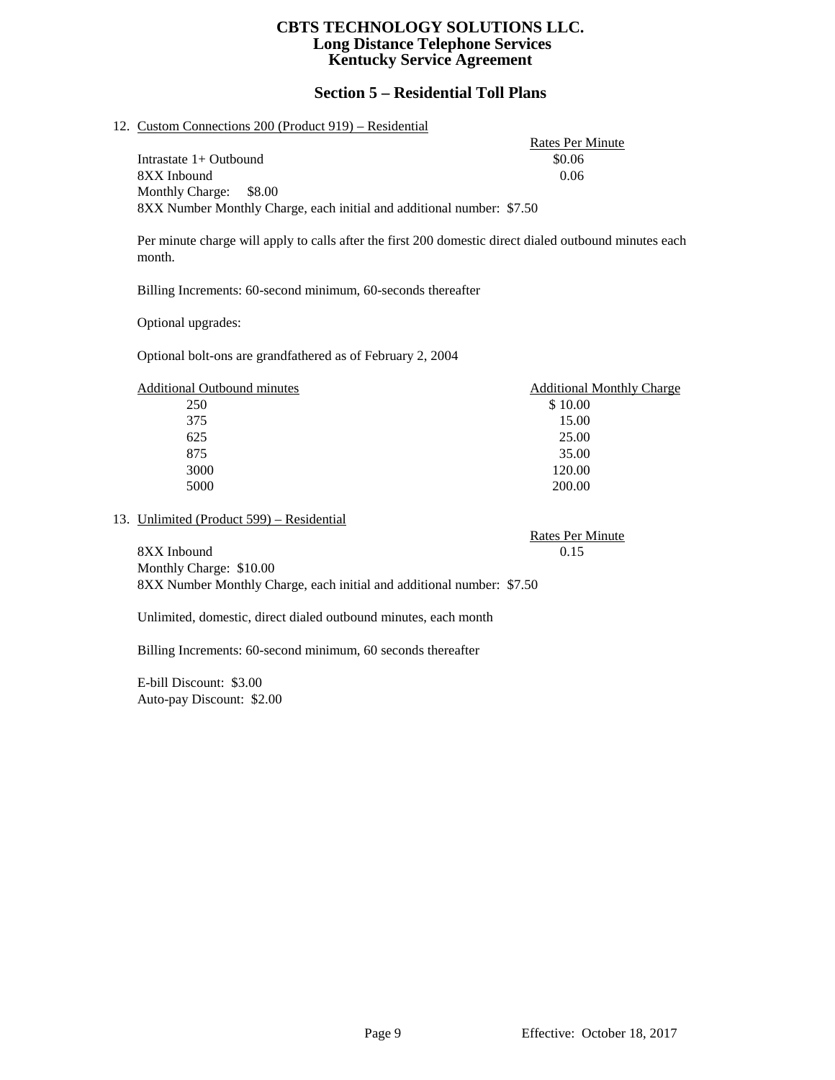## **Section 5 – Residential Toll Plans**

#### 12. Custom Connections 200 (Product 919) – Residential

Rates Per Minute Intrastate 1+ Outbound \$0.06 8XX Inbound 0.06 Monthly Charge: \$8.00 8XX Number Monthly Charge, each initial and additional number: \$7.50

Per minute charge will apply to calls after the first 200 domestic direct dialed outbound minutes each month.

Billing Increments: 60-second minimum, 60-seconds thereafter

Optional upgrades:

Optional bolt-ons are grandfathered as of February 2, 2004

| <b>Additional Outbound minutes</b> | <b>Additional Monthly Charge</b> |
|------------------------------------|----------------------------------|
| 250                                | \$10.00                          |
| 375                                | 15.00                            |
| 625                                | 25.00                            |
| 875                                | 35.00                            |
| 3000                               | 120.00                           |
| 5000                               | 200.00                           |

#### 13. Unlimited (Product 599) – Residential

Rates Per Minute 8XX Inbound 0.15 Monthly Charge: \$10.00

8XX Number Monthly Charge, each initial and additional number: \$7.50

Unlimited, domestic, direct dialed outbound minutes, each month

Billing Increments: 60-second minimum, 60 seconds thereafter

E-bill Discount: \$3.00 Auto-pay Discount: \$2.00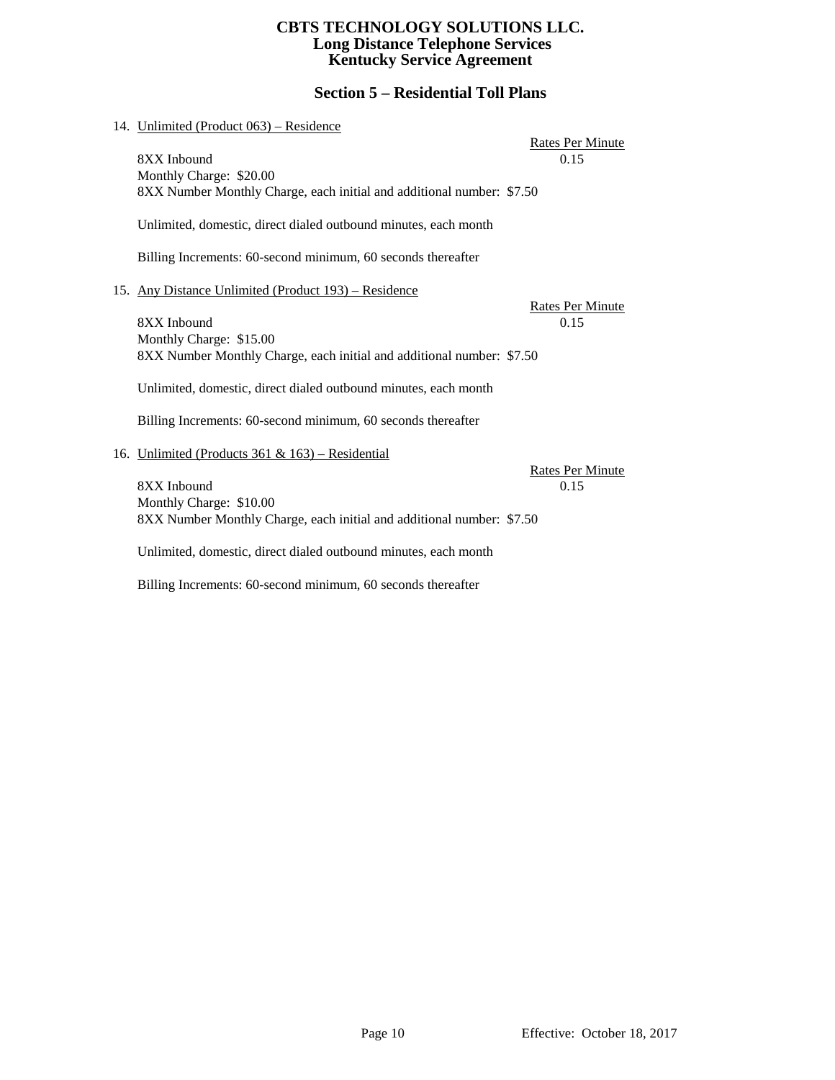# **Section 5 – Residential Toll Plans**

| 14. Unlimited (Product 063) - Residence                                                                         |                                 |
|-----------------------------------------------------------------------------------------------------------------|---------------------------------|
| 8XX Inbound<br>Monthly Charge: \$20.00                                                                          | <b>Rates Per Minute</b><br>0.15 |
| 8XX Number Monthly Charge, each initial and additional number: \$7.50                                           |                                 |
| Unlimited, domestic, direct dialed outbound minutes, each month                                                 |                                 |
| Billing Increments: 60-second minimum, 60 seconds thereafter                                                    |                                 |
| 15. Any Distance Unlimited (Product 193) – Residence                                                            | <b>Rates Per Minute</b>         |
| 8XX Inbound<br>Monthly Charge: \$15.00<br>8XX Number Monthly Charge, each initial and additional number: \$7.50 | 0.15                            |
| Unlimited, domestic, direct dialed outbound minutes, each month                                                 |                                 |
| Billing Increments: 60-second minimum, 60 seconds thereafter                                                    |                                 |
| 16. Unlimited (Products 361 & 163) – Residential                                                                | <b>Rates Per Minute</b>         |
| 8XX Inbound<br>Monthly Charge: \$10.00<br>8XX Number Monthly Charge, each initial and additional number: \$7.50 | 0.15                            |
| Unlimited, domestic, direct dialed outbound minutes, each month                                                 |                                 |

Billing Increments: 60-second minimum, 60 seconds thereafter